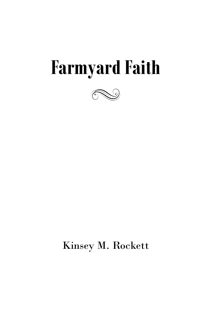# **Farmyard Faith**



## Kinsey M. Rockett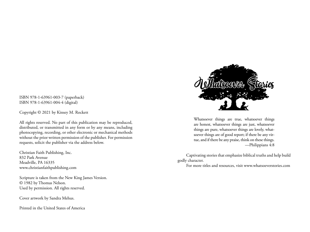ISBN 978-1-63961-003-7 (paperback) ISBN 978-1-63961-004-4 (digital)

Copyright © 2021 by Kinsey M. Rockett

All rights reserved. No part of this publication may be reproduced, distributed, or transmitted in any form or by any means, including photocopying, recording, or other electronic or mechanical methods without the prior written permission of the publisher. For permission requests, solicit the publisher via the address below.

Christian Faith Publishing, Inc. 832 Park Avenue Meadville, PA 16335 www.christianfaithpublishing.com

Scripture is taken from the New King James Version. © 1982 by Thomas Nelson. Used by permission. All rights reserved.

Cover artwork by Sandra Mehus.

Printed in the United States of America



Whatsoever things are true, whatsoever things are honest, whatsoever things are just, whatsoever things are pure, whatsoever things are lovely, whatsoever things are of good report; if there be any virtue, and if there be any praise, think on these things. —Philippians 4:8

Captivating stories that emphasize biblical truths and help build godly character.

For more titles and resources, visit www.whatsoeverstories.com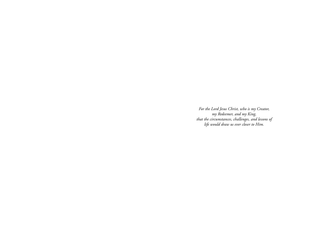*For the Lord Jesus Christ, who is my Creator, my Redeemer, and my King, that the circumstances, challenges, and lessons of life would draw us ever closer to Him.*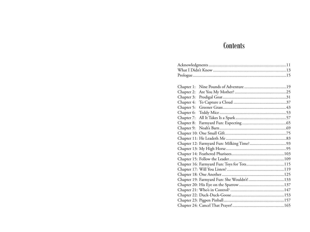# **Contents**

| Chapter 1: |                                            |  |
|------------|--------------------------------------------|--|
| Chapter 2: |                                            |  |
| Chapter 3: |                                            |  |
| Chapter 4: |                                            |  |
| Chapter 5: |                                            |  |
| Chapter 6: |                                            |  |
| Chapter 7: |                                            |  |
| Chapter 8: |                                            |  |
| Chapter 9: |                                            |  |
|            |                                            |  |
|            |                                            |  |
|            |                                            |  |
|            |                                            |  |
|            |                                            |  |
|            |                                            |  |
|            |                                            |  |
|            |                                            |  |
|            |                                            |  |
|            | Chapter 19: Farmyard Fun: She Wouldn't!133 |  |
|            |                                            |  |
|            |                                            |  |
|            |                                            |  |
|            |                                            |  |
|            |                                            |  |
|            |                                            |  |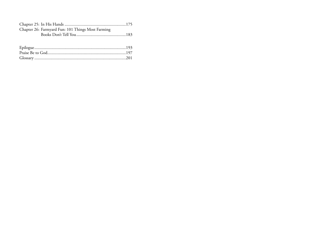| Chapter 26: Farmyard Fun: 101 Things Most Farming |  |
|---------------------------------------------------|--|
|                                                   |  |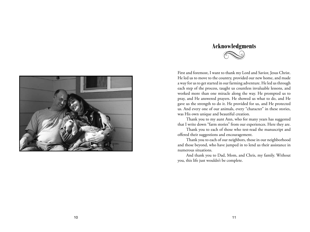## **Acknowledgments**



First and foremost, I want to thank my Lord and Savior, Jesus Christ. He led us to move to the country, provided our new home, and made a way for us to get started in our farming adventure. He led us through each step of the process, taught us countless invaluable lessons, and worked more than one miracle along the way. He prompted us to pray, and He answered prayers. He showed us what to do, and He gave us the strength to do it. He provided for us, and He protected us. And every one of our animals, every "character" in these stories, was His own unique and beautiful creation.

Thank you to my aunt Ann, who for many years has suggested that I write down "farm stories" from our experiences. Here they are.

Thank you to each of those who test-read the manuscript and offered their suggestions and encouragement.

Thank you to each of our neighbors, those in our neighborhood and those beyond, who have jumped in to lend us their assistance in numerous situations.

And thank you to Dad, Mom, and Chris, my family. Without you, this life just wouldn't be complete.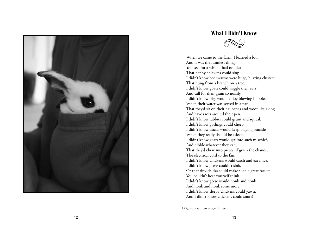

## **What I Didn't Know**



When we came to the farm, I learned a lot, And it was the funniest thing. You see, for a while I had no idea That happy chickens could sing. I didn't know bee swarms were huge, buzzing clusters That hung from a branch on a tree. I didn't know goats could wiggle their ears And call for their grain so noisily. I didn't know pigs would enjoy blowing bubbles When their water was served in a pan, That they'd sit on their haunches and woof like a dog And have races around their pen. I didn't know rabbits could grunt and squeal. I didn't know goslings could cheep. I didn't know ducks would keep playing outside When they really should be asleep. I didn't know goats would get into such mischief, And nibble whatever they can, That they'd chew into pieces, if given the chance, The electrical cord to the fan. I didn't know chickens would catch and eat mice. I didn't know geese couldn't sink, Or that tiny chicks could make such a great racket You couldn't hear yourself think. I didn't know geese would honk and honk And honk and honk some more. I didn't know sleepy chickens could yawn, And I didn't know chickens could snore! 1

<sup>&</sup>lt;sup>1</sup> Originally written at age thirteen.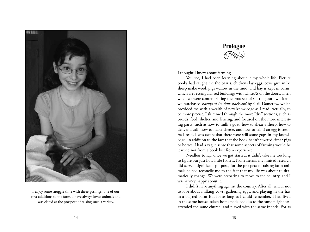

I enjoy some snuggle time with three goslings, one of our first additions to the farm. I have always loved animals and was elated at the prospect of raising such a variety.

# **Prologue**

I thought I knew about farming.

You see, I had been learning about it my whole life. Picture books had taught me the basics: chickens lay eggs, cows give milk, sheep make wool, pigs wallow in the mud, and hay is kept in barns, which are rectangular red buildings with white *X*s on the doors. Then when we were contemplating the prospect of starting our own farm, we purchased *Barnyard in Your Backyard* by Gail Damerow, which provided me with a wealth of new knowledge as I read. Actually, to be more precise, I skimmed through the more "dry" sections, such as breeds, feed, shelter, and fencing, and focused on the more interesting parts, such as how to milk a goat, how to shear a sheep, how to deliver a calf, how to make cheese, and how to tell if an egg is fresh. As I read, I was aware that there were still some gaps in my knowledge. In addition to the fact that the book hadn't covered either pigs or horses, I had a vague sense that some aspects of farming would be learned not from a book but from experience.

Needless to say, once we got started, it didn't take me too long to figure out just how little I knew. Nonetheless, my limited research did serve a significant purpose, for the prospect of raising farm animals helped reconcile me to the fact that my life was about to dramatically change. We were preparing to move to the country, and I wasn't very happy about it.

I didn't have anything against the country. After all, what's not to love about milking cows, gathering eggs, and playing in the hay in a big red barn? But for as long as I could remember, I had lived in the same house, taken homemade cookies to the same neighbors, attended the same church, and played with the same friends. For as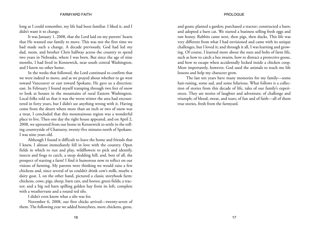## FARMYARD FAITH AND RESERVE TO A RESERVE THE RESERVE TO A RESERVE THE RESERVE TO A RESERVE THE RESERVE TO A RESERVE THE RESERVE TO A RESERVE THE RESERVE TO A RESERVE THE RESERVE TO A RESERVE THE RESERVE TO A RESERVE THE RES

long as I could remember, my life had been familiar. I liked it, and I didn't want it to change.

It was January 1, 2008, that the Lord laid on my parents' hearts that He wanted our family to move. This was not the first time we had made such a change. A decade previously, God had led my dad, mom, and brother Chris halfway across the country to spend two years in Nebraska, where I was born. But since the age of nine months, I had lived in Kennewick, near south central Washington, and I knew no other home.

In the weeks that followed, the Lord continued to confirm that we were indeed to move, and as we prayed about whether to go west toward Vancouver or east toward Spokane, He gave us a direction: east. In February I found myself tramping through two feet of snow to look at houses in the mountains of rural Eastern Washington. Local folks told us that it was the worst winter the area had encountered in forty years, but I didn't see anything wrong with it. Having come from the desert where more than an inch or two of snow was a treat, I concluded that this mountainous region was a wonderful place to live. Then one day the right house appeared, and on April 2, 2008, we uprooted from our home in Kennewick to settle in the rolling countryside of Chattaroy, twenty-five minutes north of Spokane. I was nine years old.

Although I found it difficult to leave the home and friends that I knew, I almost immediately fell in love with the country. Open fields in which to run and play, wildflowers to pick and identify, insects and frogs to catch, a steep sledding hill, and, best of all, the prospect of starting a farm! I find it humorous now to reflect on our visions of farming. My parents were thinking we would raise a few chickens and, since several of us couldn't drink cow's milk, maybe a dairy goat. I, on the other hand, pictured a classic storybook farm: chickens, cows, pigs, sheep, barn cats, and horses; green fields; a tractor; and a big red barn spilling golden hay from its loft, complete with a weathervane and a round red silo.

I didn't even know what a silo was for.

November 6, 2008, our first chicks arrived—twenty-seven of them. The following year we added honeybees, more chickens, geese,

and goats; planted a garden; purchased a tractor; constructed a barn; and adopted a barn cat. We started a business selling fresh eggs and raw honey. Rabbits came next, then pigs, then ducks. This life was very different from what I had envisioned and came with its unique challenges, but I loved it; and through it all, I was learning and growing. Of course, I learned more about the nuts and bolts of farm life, such as how to catch a bee swarm, how to distract a protective goose, and how to escape when accidentally locked inside a chicken coop. More importantly, however, God used the animals to teach me life lessons and help my character grow.

The last ten years have many memories for my family—some hair-raising, some sad, and some hilarious. What follows is a collection of stories from this decade of life, tales of our family's experiences. They are stories of laughter and adventure; of challenge and triumph; of blood, sweat, and tears; of fun and of faith—all of them true stories, fresh from the farmyard.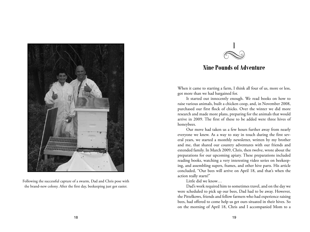

Following the successful capture of a swarm, Dad and Chris pose with the brand-new colony. After the first day, beekeeping just got easier.

# 1

## **Nine Pounds of Adventure**

When it came to starting a farm, I think all four of us, more or less, got more than we had bargained for.

It started out innocently enough. We read books on how to raise various animals, built a chicken coop, and, in November 2008, purchased our first flock of chicks. Over the winter we did more research and made more plans, preparing for the animals that would arrive in 2009. The first of these to be added were three hives of honeybees.

Our move had taken us a few hours further away from nearly everyone we knew. As a way to stay in touch during the first several years, we started a monthly newsletter, written by my brother and me, that shared our country adventures with our friends and extended family. In March 2009, Chris, then twelve, wrote about the preparations for our upcoming apiary. These preparations included reading books, watching a very interesting video series on beekeeping, and assembling supers, frames, and other hive parts. His article concluded, "Our bees will arrive on April 18, and that's when the action really starts!"

Little did we know…

Dad's work required him to sometimes travel, and on the day we were scheduled to pick up our bees, Dad had to be away. However, the Pittelkows, friends and fellow farmers who had experience raising bees, had offered to come help us get ours situated in their hives. So on the morning of April 18, Chris and I accompanied Mom to a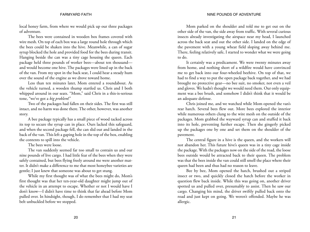local honey farm, from where we would pick up our three packages of adventure.

The bees were contained in wooden box frames covered with wire mesh. On top of each box was a large round hole through which the bees could be shaken into the hive. Meanwhile, a can of sugar syrup blocked the hole and provided food for the bees during transit. Hanging beside the can was a tiny cage housing the queen. Each package held three pounds of worker bees—about ten thousand and would become one hive. The packages were lined up in the back of the van. From my spot in the back seat, I could hear a steady hum over the sound of the engine as we drove toward home.

Less than ten minutes later, Mom entered a roundabout. As the vehicle turned, a wooden thump startled us. Chris and I both whipped around in our seats. "Mom," said Chris in a this-is-serious tone, "we've got a *big problem*!"

Two of the packages had fallen on their sides. The first was still intact, and no harm was done there. The other, however, was another story.

A bee package typically has a small piece of wood tacked across its top to secure the syrup can in place. Ours lacked this safeguard, and when the second package fell, the can slid out and landed in the back of the van. This left a gaping hole in the top of the box, enabling the contents to spill into the vehicle.

The bees were loose.

The van suddenly seemed far too small to contain us and our nine pounds of live cargo. I had little fear of the bees when they were safely contained, but bees flying freely around me were another matter. It didn't make a difference to me that most honeybee varieties are gentle; I just knew that someone was about to get stung.

While my first thought was of what the bees might do, Mom's first thought was that her ten-year-old daughter might jump out of the vehicle in an attempt to escape. Whether or not I would have I don't know—I didn't have time to think that far ahead before Mom pulled over. In hindsight, though, I do remember that I had my seat belt unbuckled before we stopped.

Mom parked on the shoulder and told me to get out on the other side of the van, the side away from traffic. With several curious insects already investigating the airspace near my head, I launched across the back seat and out the other side. I landed on the edge of the pavement with a young wheat field sloping away behind me. There, feeling relatively safe, I started to wonder what we were going to do.

It certainly was a predicament. We were twenty minutes away from home, and nothing short of a wildfire would have convinced me to get back into our four-wheeled beehive. On top of that, we had to find a way to put the open package back together, and we had brought no protective gear—no bee suit, no smoker, not even a veil and gloves. We hadn't thought we would need them. Our only equipment was a bee brush, and somehow I didn't think that it would be an adequate defense.

Chris joined me, and we watched while Mom opened the van's rear hatch. Several bees flew out. More bees explored the interior while numerous others clung to the wire mesh on the outside of the packages. Mom grabbed the wayward syrup can and stuffed it back into its hole, preventing further escape. Then she gingerly picked up the packages one by one and set them on the shoulder of the pavement.

The central figure in a hive is the queen, and the workers will not abandon her. This future hive's queen was in a tiny cage inside the package. With the packages now on the side of the road, the loose bees outside would be attracted back to their queen. The problem was that the bees inside the van could still smell the place where their queen had been and thus had no reason to leave.

Bee by bee, Mom opened the hatch, brushed out a striped insect or two, and quickly closed the hatch before the worker in question flew back inside. While this was going on, another driver spotted us and pulled over, presumably to assist. Then he saw our cargo. Changing his mind, the driver swiftly pulled back onto the road and just kept on going. We weren't offended. Maybe he was allergic.